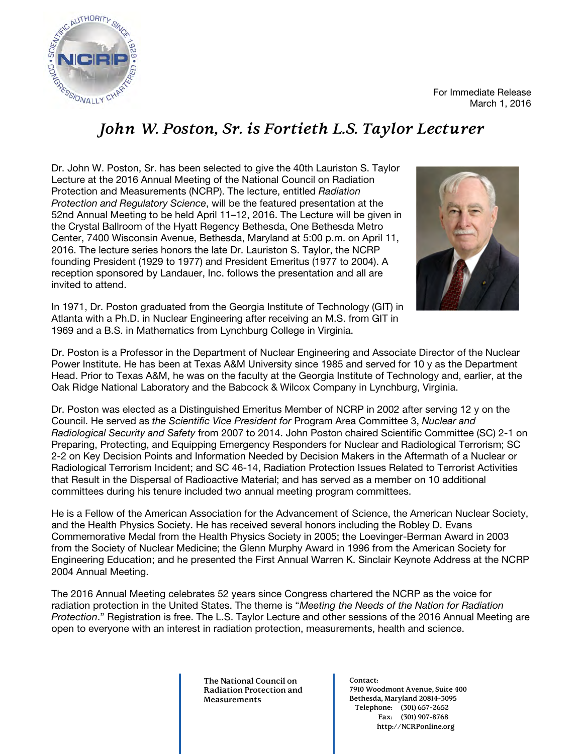

For Immediate Release March 1, 2016

#### *John W. Poston, Sr. is Fortieth L.S. Taylor Lecturer*

Dr. John W. Poston, Sr. has been selected to give the 40th Lauriston S. Taylor Lecture at the 2016 Annual Meeting of the National Council on Radiation Protection and Measurements (NCRP). The lecture, entitled *Radiation Protection and Regulatory Science*, will be the featured presentation at the 52nd Annual Meeting to be held April 11–12, 2016. The Lecture will be given in the Crystal Ballroom of the Hyatt Regency Bethesda, One Bethesda Metro Center, 7400 Wisconsin Avenue, Bethesda, Maryland at 5:00 p.m. on April 11, 2016. The lecture series honors the late Dr. Lauriston S. Taylor, the NCRP founding President (1929 to 1977) and President Emeritus (1977 to 2004). A reception sponsored by Landauer, Inc. follows the presentation and all are invited to attend.



In 1971, Dr. Poston graduated from the Georgia Institute of Technology (GIT) in Atlanta with a Ph.D. in Nuclear Engineering after receiving an M.S. from GIT in 1969 and a B.S. in Mathematics from Lynchburg College in Virginia.

Dr. Poston is a Professor in the Department of Nuclear Engineering and Associate Director of the Nuclear Power Institute. He has been at Texas A&M University since 1985 and served for 10 y as the Department Head. Prior to Texas A&M, he was on the faculty at the Georgia Institute of Technology and, earlier, at the Oak Ridge National Laboratory and the Babcock & Wilcox Company in Lynchburg, Virginia.

Dr. Poston was elected as a Distinguished Emeritus Member of NCRP in 2002 after serving 12 y on the Council. He served as *the Scientific Vice President for* Program Area Committee 3, *Nuclear and Radiological Security and Safety* from 2007 to 2014. John Poston chaired Scientific Committee (SC) 2-1 on Preparing, Protecting, and Equipping Emergency Responders for Nuclear and Radiological Terrorism; SC 2-2 on Key Decision Points and Information Needed by Decision Makers in the Aftermath of a Nuclear or Radiological Terrorism Incident; and SC 46-14, Radiation Protection Issues Related to Terrorist Activities that Result in the Dispersal of Radioactive Material; and has served as a member on 10 additional committees during his tenure included two annual meeting program committees.

He is a Fellow of the American Association for the Advancement of Science, the American Nuclear Society, and the Health Physics Society. He has received several honors including the Robley D. Evans Commemorative Medal from the Health Physics Society in 2005; the Loevinger-Berman Award in 2003 from the Society of Nuclear Medicine; the Glenn Murphy Award in 1996 from the American Society for Engineering Education; and he presented the First Annual Warren K. Sinclair Keynote Address at the NCRP 2004 Annual Meeting.

The 2016 Annual Meeting celebrates 52 years since Congress chartered the NCRP as the voice for radiation protection in the United States. The theme is "*Meeting the Needs of the Nation for Radiation Protection*." Registration is free. The L.S. Taylor Lecture and other sessions of the 2016 Annual Meeting are open to everyone with an interest in radiation protection, measurements, health and science.

> **The National Council on Radiation Protection and Measurements**

**Contact: 7910 Woodmont Avenue, Suite 400 Bethesda, Maryland 20814-3095 Telephone: (301) 657-2652 Fax: (301) 907-8768 http://NCRPonline.org**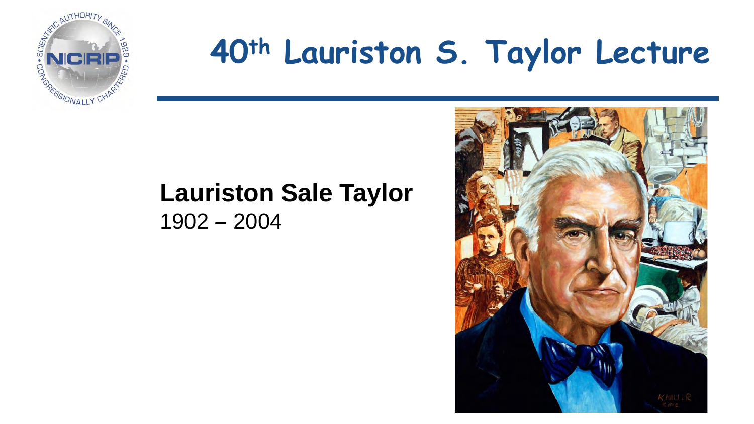

# **40th Lauriston S. Taylor Lecture**

#### **Lauriston Sale Taylor** 1902 *–* 2004

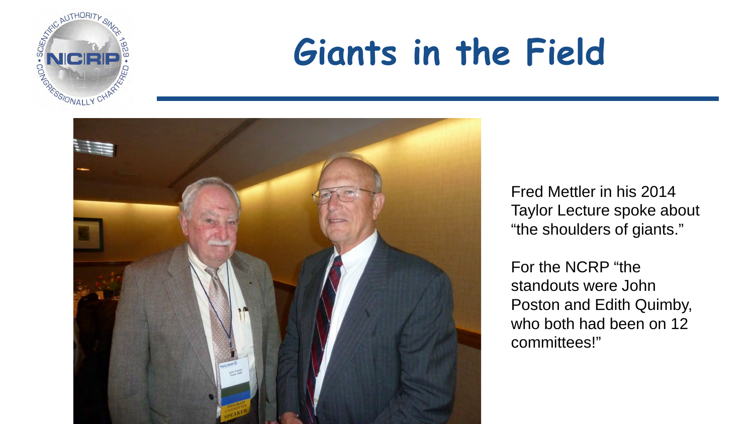

# **Giants in the Field**



Fred Mettler in his 2014 Taylor Lecture spoke about "the shoulders of giants."

For the NCRP "the standouts were John Poston and Edith Quimby, who both had been on 12 committees!"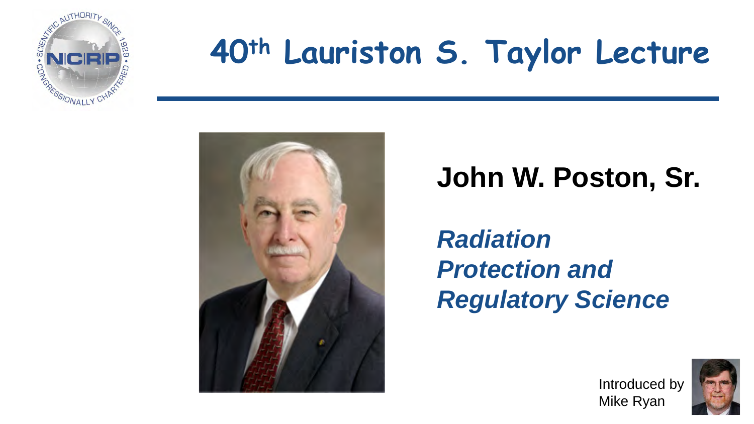

# **40th Lauriston S. Taylor Lecture**



#### **John W. Poston, Sr.**

*Radiation Protection and Regulatory Science*

> Introduced by Mike Ryan

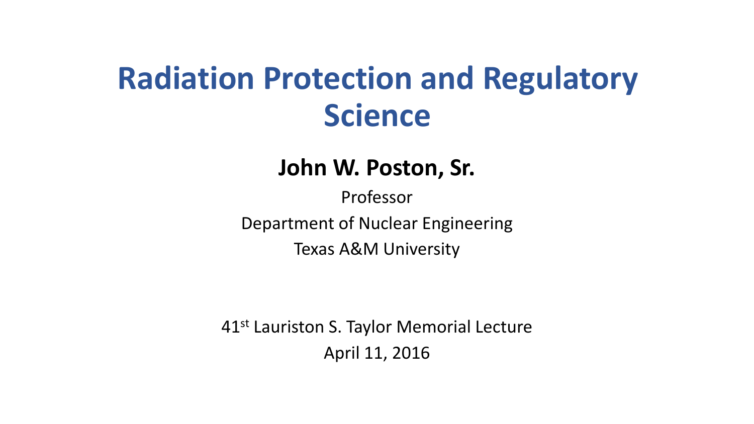#### **Radiation Protection and Regulatory Science**

#### **John W. Poston, Sr.**

Professor Department of Nuclear Engineering Texas A&M University

41st Lauriston S. Taylor Memorial Lecture April 11, 2016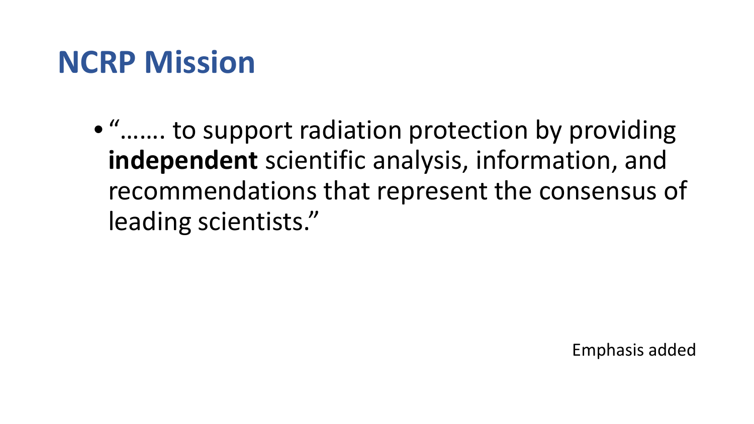#### **NCRP Mission**

• "……. to support radiation protection by providing **independent** scientific analysis, information, and recommendations that represent the consensus of leading scientists."

Emphasis added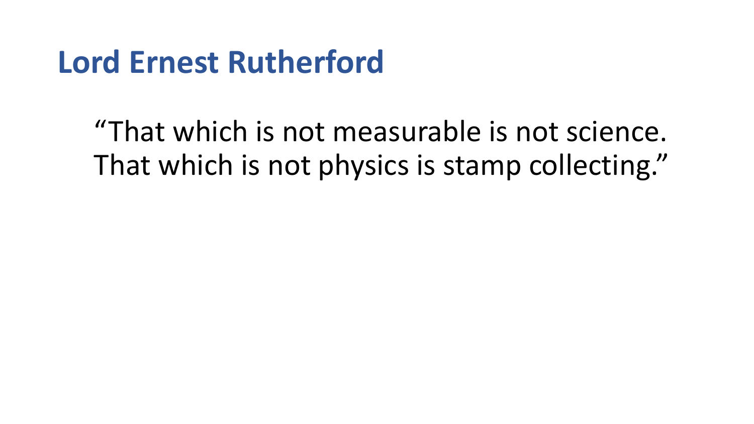#### **Lord Ernest Rutherford**

"That which is not measurable is not science. That which is not physics is stamp collecting."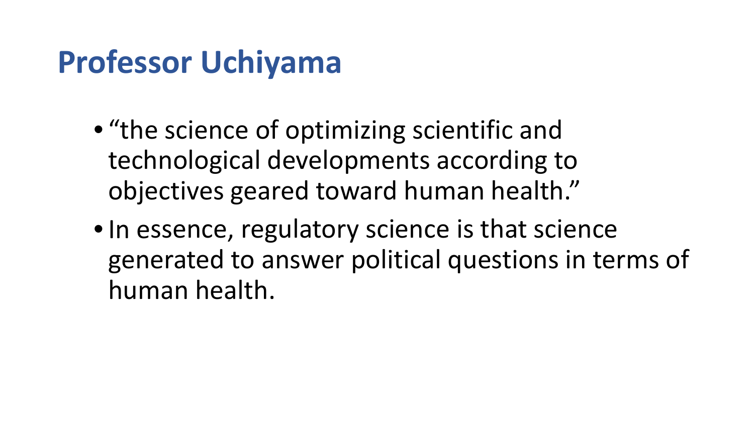### **Professor Uchiyama**

- "the science of optimizing scientific and technological developments according to objectives geared toward human health."
- In essence, regulatory science is that science generated to answer political questions in terms of human health.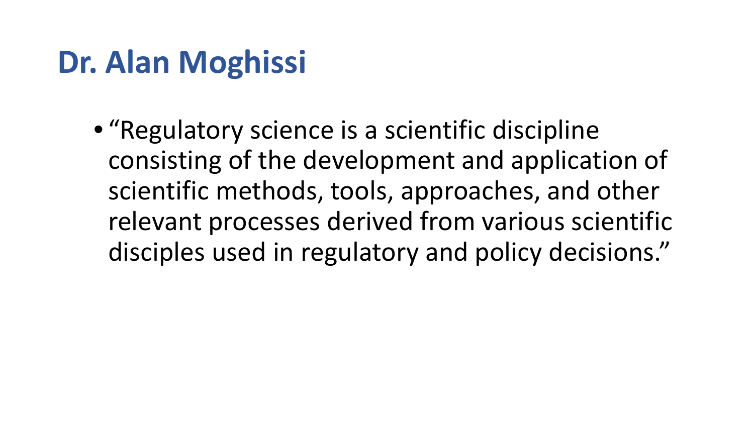### **Dr. Alan Moghissi**

• "Regulatory science is a scientific discipline consisting of the development and application of scientific methods, tools, approaches, and other relevant processes derived from various scientific disciples used in regulatory and policy decisions."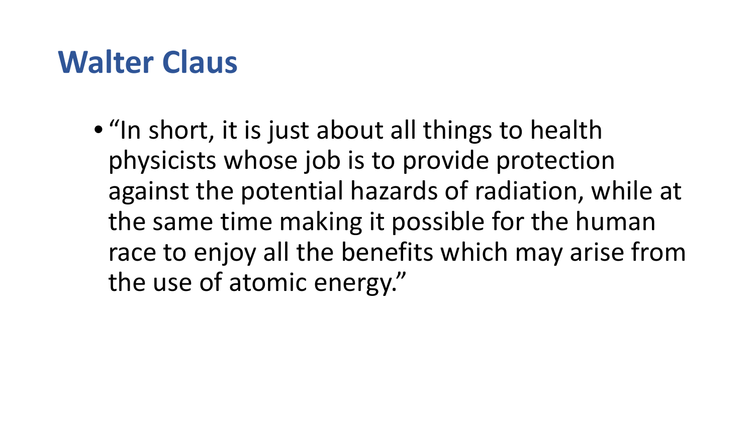#### **Walter Claus**

• "In short, it is just about all things to health physicists whose job is to provide protection against the potential hazards of radiation, while at the same time making it possible for the human race to enjoy all the benefits which may arise from the use of atomic energy."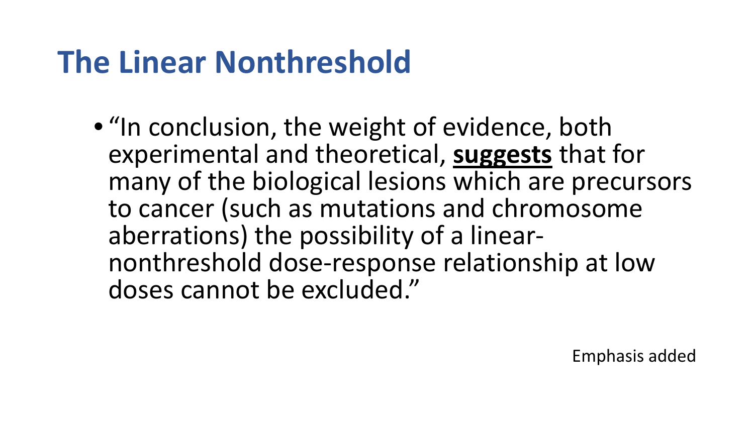### **The Linear Nonthreshold**

• "In conclusion, the weight of evidence, both experimental and theoretical, **suggests** that for many of the biological lesions which are precursors to cancer (such as mutations and chromosome aberrations) the possibility of a linear- nonthreshold dose-response relationship at low doses cannot be excluded."

Emphasis added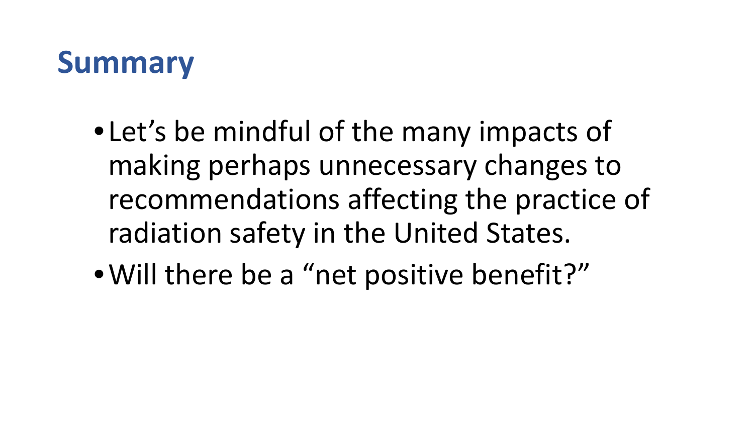### **Summary**

- •Let's be mindful of the many impacts of making perhaps unnecessary changes to recommendations affecting the practice of radiation safety in the United States.
- •Will there be a "net positive benefit?"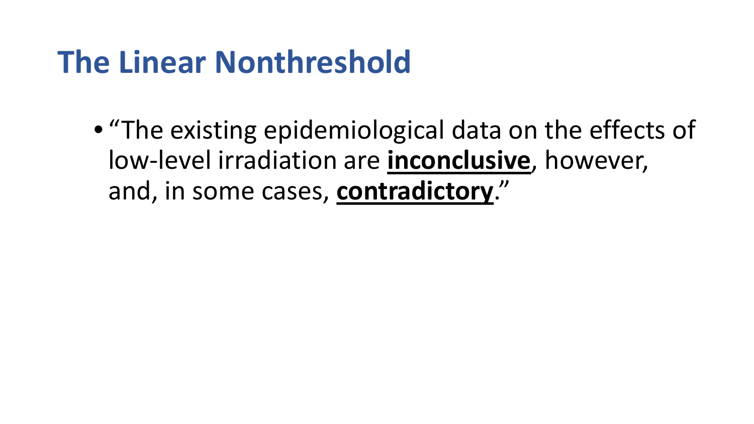#### **The Linear Nonthreshold**

• "The existing epidemiological data on the effects of low-level irradiation are **inconclusive**, however, and, in some cases, **contradictory**."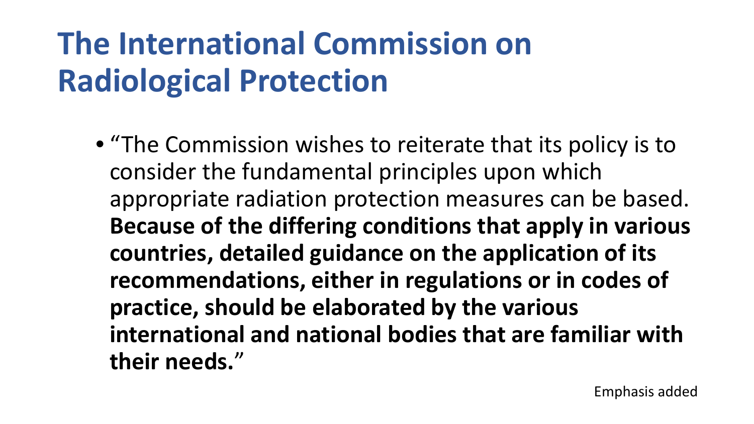## **The International Commission on Radiological Protection**

• "The Commission wishes to reiterate that its policy is to consider the fundamental principles upon which appropriate radiation protection measures can be based. **Because of the differing conditions that apply in various countries, detailed guidance on the application of its recommendations, either in regulations or in codes of practice, should be elaborated by the various international and national bodies that are familiar with their needs.**"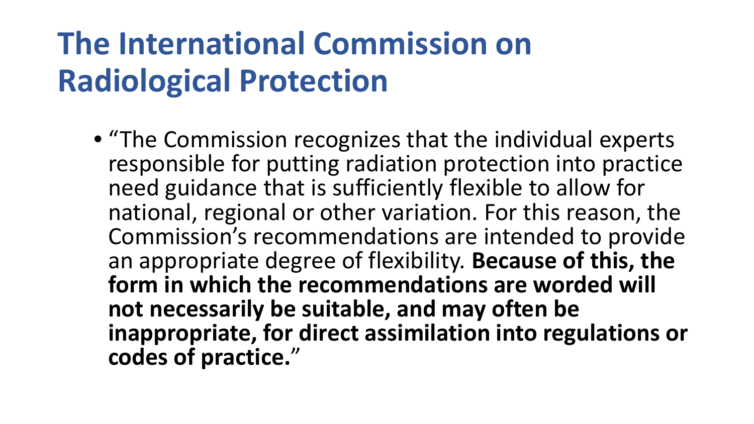## **The International Commission on Radiological Protection**

• "The Commission recognizes that the individual experts responsible for putting radiation protection into practice need guidance that is sufficiently flexible to allow for national, regional or other variation. For this reason, the Commission's recommendations are intended to provide an appropriate degree of flexibility. **Because of this, the form in which the recommendations are worded will not necessarily be suitable, and may often be inappropriate, for direct assimilation into regulations or codes of practice.**"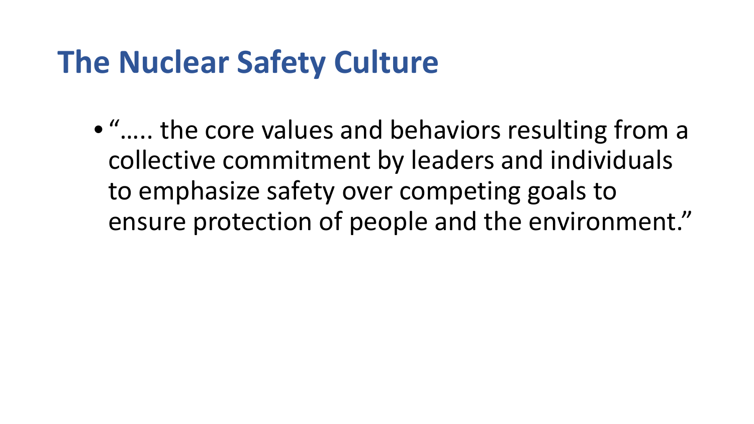#### **The Nuclear Safety Culture**

• "….. the core values and behaviors resulting from a collective commitment by leaders and individuals to emphasize safety over competing goals to ensure protection of people and the environment."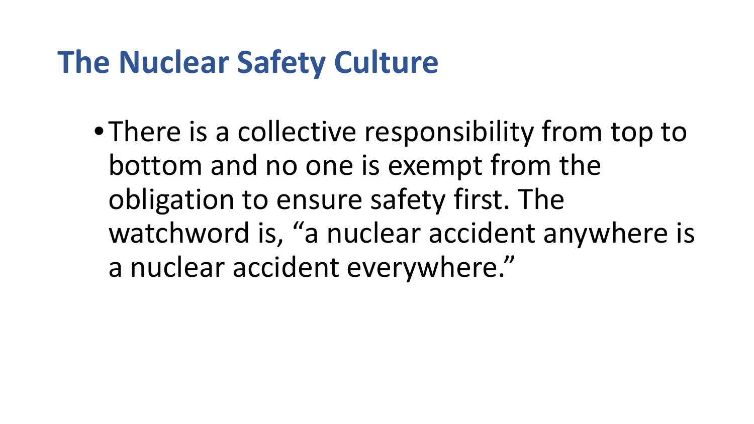#### **The Nuclear Safety Culture**

•There is a collective responsibility from top to bottom and no one is exempt from the obligation to ensure safety first. The watchword is, "a nuclear accident anywhere is a nuclear accident everywhere."